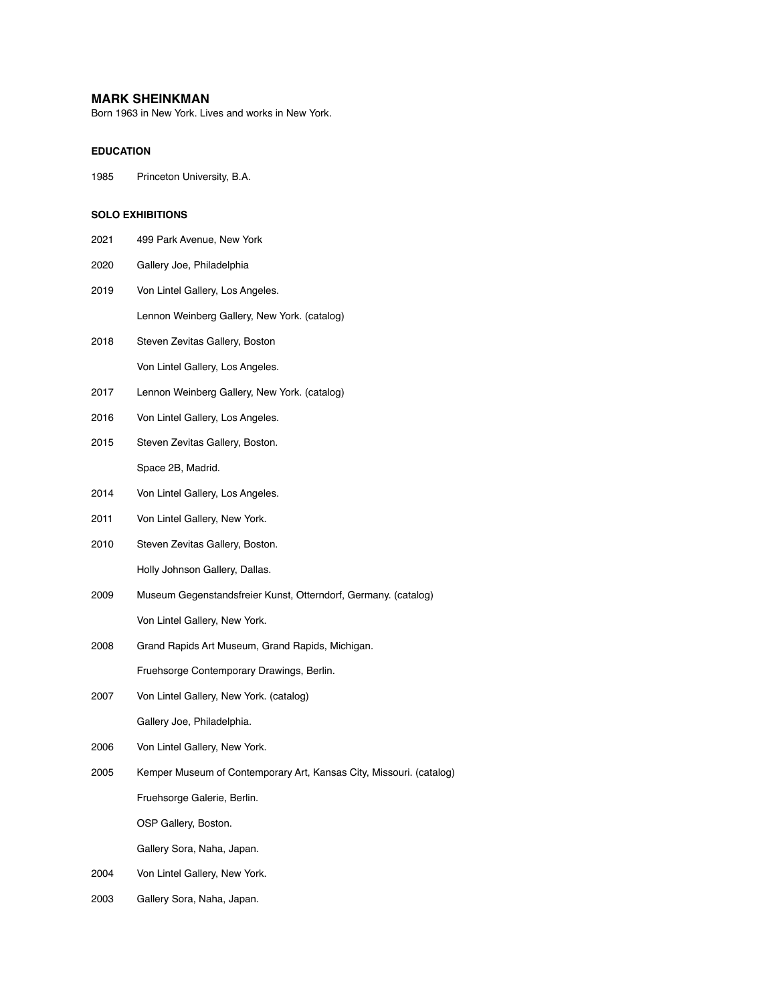# **MARK SHEINKMAN**

Born 1963 in New York. Lives and works in New York.

# **EDUCATION**

1985 Princeton University, B.A.

# **SOLO EXHIBITIONS**

- 2021 499 Park Avenue, New York
- 2020 Gallery Joe, Philadelphia
- 2019 Von Lintel Gallery, Los Angeles. Lennon Weinberg Gallery, New York. (catalog)
- 2018 Steven Zevitas Gallery, Boston Von Lintel Gallery, Los Angeles.
- 2017 Lennon Weinberg Gallery, New York. (catalog)
- 2016 Von Lintel Gallery, Los Angeles.
- 2015 Steven Zevitas Gallery, Boston. Space 2B, Madrid.
- 2014 Von Lintel Gallery, Los Angeles.
- 2011 Von Lintel Gallery, New York.
- 2010 Steven Zevitas Gallery, Boston. Holly Johnson Gallery, Dallas.
- 2009 Museum Gegenstandsfreier Kunst, Otterndorf, Germany. (catalog) Von Lintel Gallery, New York.
- 2008 Grand Rapids Art Museum, Grand Rapids, Michigan.

Fruehsorge Contemporary Drawings, Berlin.

- 2007 Von Lintel Gallery, New York. (catalog) Gallery Joe, Philadelphia.
- 2006 Von Lintel Gallery, New York.
- 2005 Kemper Museum of Contemporary Art, Kansas City, Missouri. (catalog)

Fruehsorge Galerie, Berlin.

OSP Gallery, Boston.

Gallery Sora, Naha, Japan.

- 2004 Von Lintel Gallery, New York.
- 2003 Gallery Sora, Naha, Japan.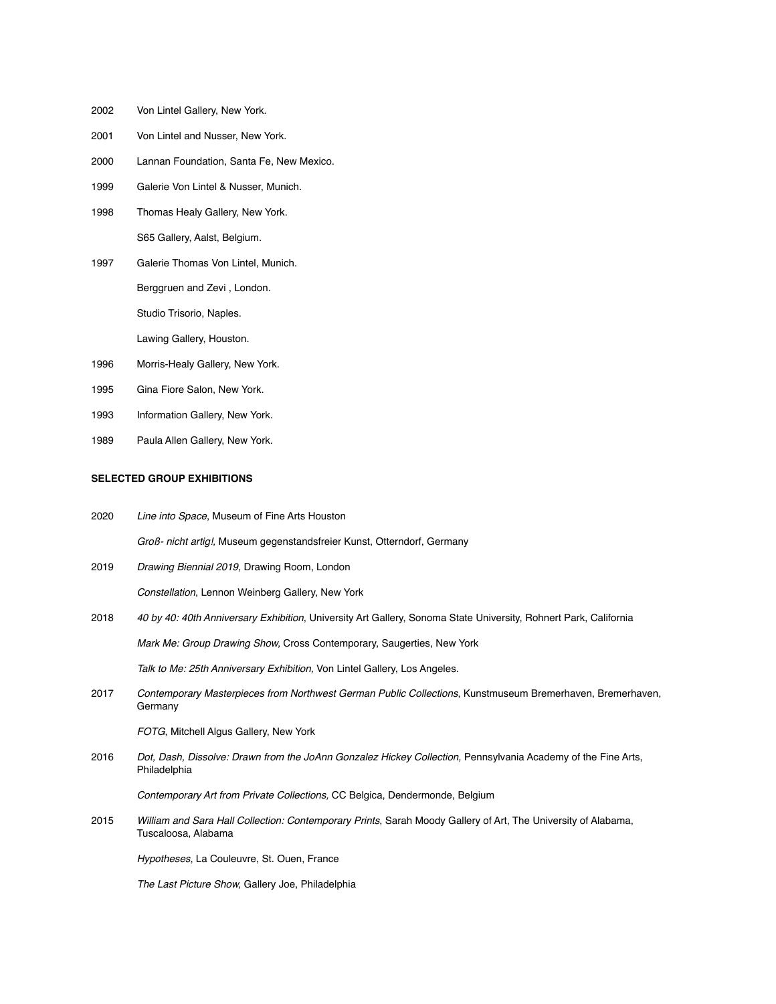- 2002 Von Lintel Gallery, New York.
- 2001 Von Lintel and Nusser, New York.
- 2000 Lannan Foundation, Santa Fe, New Mexico.
- 1999 Galerie Von Lintel & Nusser, Munich.
- 1998 Thomas Healy Gallery, New York. S65 Gallery, Aalst, Belgium.
- 1997 Galerie Thomas Von Lintel, Munich. Berggruen and Zevi , London.

Studio Trisorio, Naples.

Lawing Gallery, Houston.

- 1996 Morris-Healy Gallery, New York.
- 1995 Gina Fiore Salon, New York.
- 1993 Information Gallery, New York.
- 1989 Paula Allen Gallery, New York.

#### **SELECTED GROUP EXHIBITIONS**

- 2020 *Line into Space*, Museum of Fine Arts Houston *Groß- nicht artig!,* Museum gegenstandsfreier Kunst, Otterndorf, Germany
- 2019 *Drawing Biennial 2019,* Drawing Room, London

*Constellation*, Lennon Weinberg Gallery, New York

- 2018 *40 by 40: 40th Anniversary Exhibition*, University Art Gallery, Sonoma State University, Rohnert Park, California *Mark Me: Group Drawing Show,* Cross Contemporary, Saugerties, New York *Talk to Me: 25th Anniversary Exhibition,* Von Lintel Gallery, Los Angeles.
- 2017 *Contemporary Masterpieces from Northwest German Public Collections*, Kunstmuseum Bremerhaven, Bremerhaven, **Germany**

*FOTG*, Mitchell Algus Gallery, New York

2016 *Dot, Dash, Dissolve: Drawn from the JoAnn Gonzalez Hickey Collection, Pennsylvania Academy of the Fine Arts,* Philadelphia

*Contemporary Art from Private Collections,* CC Belgica, Dendermonde, Belgium

2015 *William and Sara Hall Collection: Contemporary Prints*, Sarah Moody Gallery of Art, The University of Alabama, Tuscaloosa, Alabama

*Hypotheses*, La Couleuvre, St. Ouen, France

*The Last Picture Show,* Gallery Joe, Philadelphia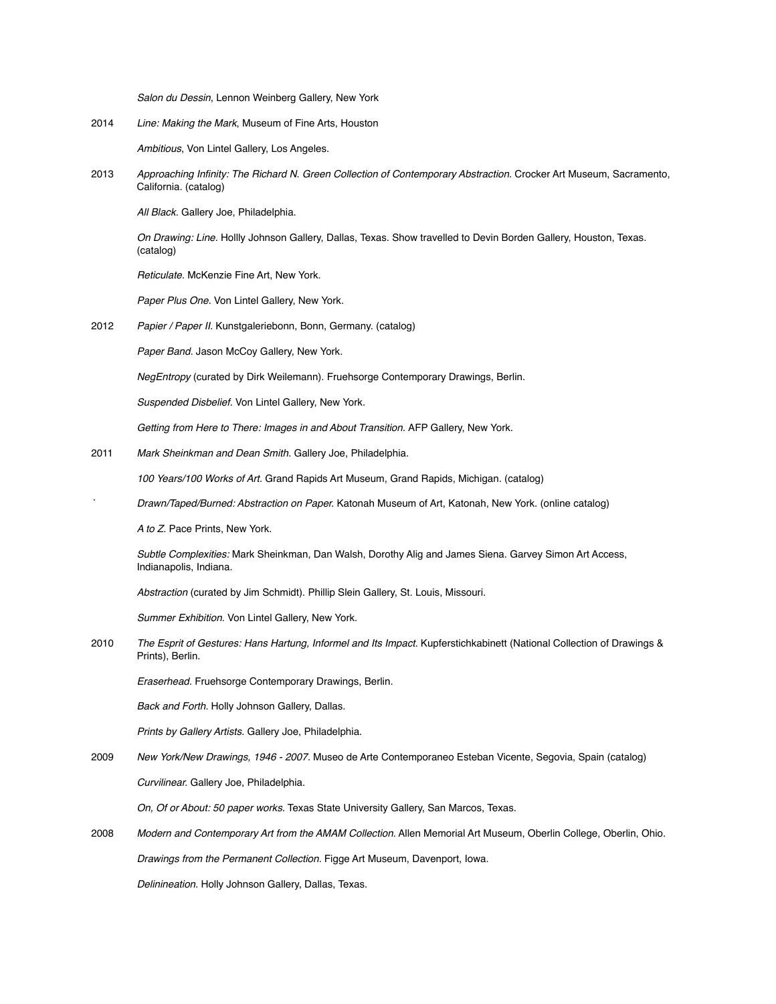*Salon du Dessin*, Lennon Weinberg Gallery, New York

2014 *Line: Making the Mark*, Museum of Fine Arts, Houston

*Ambitious*, Von Lintel Gallery, Los Angeles.

2013 *Approaching Infinity: The Richard N. Green Collection of Contemporary Abstraction.* Crocker Art Museum, Sacramento, California. (catalog)

*All Black.* Gallery Joe, Philadelphia.

*On Drawing: Line.* Hollly Johnson Gallery, Dallas, Texas. Show travelled to Devin Borden Gallery, Houston, Texas. (catalog)

*Reticulate.* McKenzie Fine Art, New York.

*Paper Plus One.* Von Lintel Gallery, New York.

2012 *Papier / Paper II.* Kunstgaleriebonn, Bonn, Germany. (catalog)

*Paper Band.* Jason McCoy Gallery, New York.

*NegEntropy* (curated by Dirk Weilemann). Fruehsorge Contemporary Drawings, Berlin.

*Suspended Disbelief.* Von Lintel Gallery, New York.

*Getting from Here to There: Images in and About Transition.* AFP Gallery, New York.

2011 *Mark Sheinkman and Dean Smith.* Gallery Joe, Philadelphia.

*100 Years/100 Works of Art.* Grand Rapids Art Museum, Grand Rapids, Michigan. (catalog)

*` Drawn/Taped/Burned: Abstraction on Paper.* Katonah Museum of Art, Katonah, New York. (online catalog)

*A to Z.* Pace Prints, New York.

*Subtle Complexities:* Mark Sheinkman, Dan Walsh, Dorothy Alig and James Siena. Garvey Simon Art Access, Indianapolis, Indiana.

*Abstraction* (curated by Jim Schmidt). Phillip Slein Gallery, St. Louis, Missouri.

*Summer Exhibition.* Von Lintel Gallery, New York.

2010 *The Esprit of Gestures: Hans Hartung, Informel and Its Impact.* Kupferstichkabinett (National Collection of Drawings & Prints), Berlin.

*Eraserhead.* Fruehsorge Contemporary Drawings, Berlin.

*Back and Forth.* Holly Johnson Gallery, Dallas.

*Prints by Gallery Artists.* Gallery Joe, Philadelphia.

2009 *New York/New Drawings, 1946 - 2007.* Museo de Arte Contemporaneo Esteban Vicente, Segovia, Spain (catalog)

*Curvilinear.* Gallery Joe, Philadelphia.

*On, Of or About: 50 paper works.* Texas State University Gallery, San Marcos, Texas.

2008 *Modern and Contemporary Art from the AMAM Collection.* Allen Memorial Art Museum, Oberlin College, Oberlin, Ohio.

*Drawings from the Permanent Collection.* Figge Art Museum, Davenport, Iowa.

*Delinineation.* Holly Johnson Gallery, Dallas, Texas.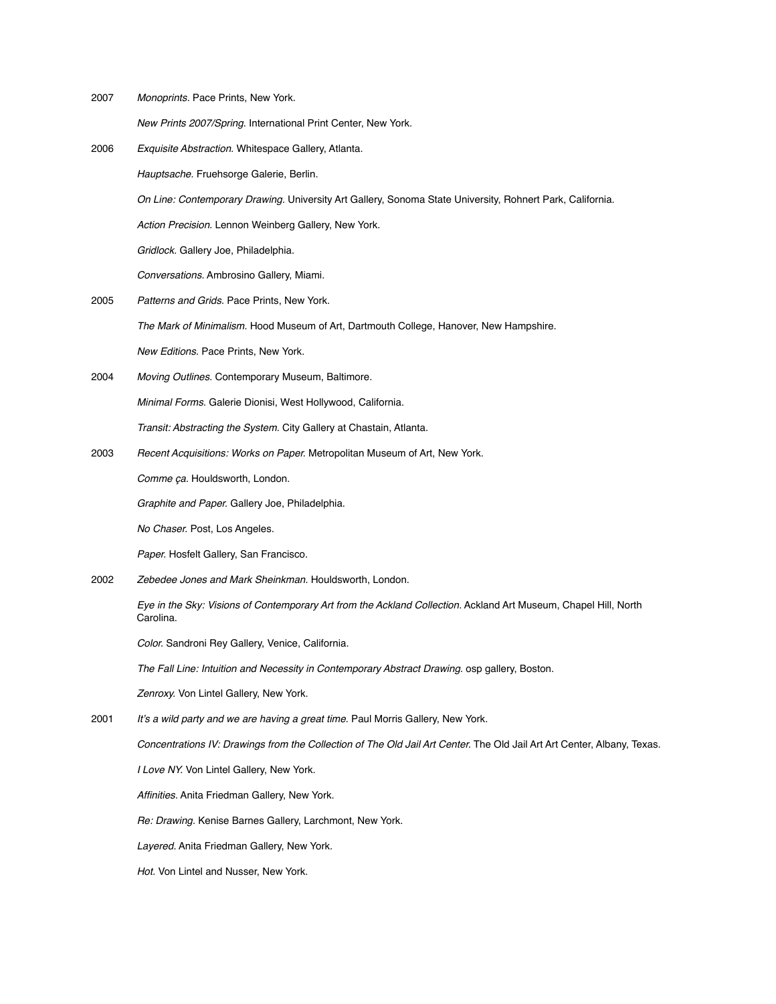2007 *Monoprints.* Pace Prints, New York.

*New Prints 2007/Spring.* International Print Center, New York.

2006 *Exquisite Abstraction.* Whitespace Gallery, Atlanta.

*Hauptsache.* Fruehsorge Galerie, Berlin.

*On Line: Contemporary Drawing.* University Art Gallery, Sonoma State University, Rohnert Park, California.

*Action Precision.* Lennon Weinberg Gallery, New York.

*Gridlock.* Gallery Joe, Philadelphia.

*Conversations.* Ambrosino Gallery, Miami.

- 2005 *Patterns and Grids.* Pace Prints, New York. *The Mark of Minimalism.* Hood Museum of Art, Dartmouth College, Hanover, New Hampshire. *New Editions.* Pace Prints, New York.
- 2004 *Moving Outlines.* Contemporary Museum, Baltimore.

*Minimal Forms.* Galerie Dionisi, West Hollywood, California.

*Transit: Abstracting the System.* City Gallery at Chastain, Atlanta.

2003 *Recent Acquisitions: Works on Paper.* Metropolitan Museum of Art, New York.

*Comme ça.* Houldsworth, London.

*Graphite and Paper.* Gallery Joe, Philadelphia.

*No Chaser.* Post, Los Angeles.

*Paper.* Hosfelt Gallery, San Francisco.

2002 *Zebedee Jones and Mark Sheinkman.* Houldsworth, London.

*Eye in the Sky: Visions of Contemporary Art from the Ackland Collection.* Ackland Art Museum, Chapel Hill, North Carolina.

*Color.* Sandroni Rey Gallery, Venice, California.

*The Fall Line: Intuition and Necessity in Contemporary Abstract Drawing.* osp gallery, Boston.

*Zenroxy.* Von Lintel Gallery, New York.

2001 *It's a wild party and we are having a great time.* Paul Morris Gallery, New York.

*Concentrations IV: Drawings from the Collection of The Old Jail Art Center.* The Old Jail Art Art Center, Albany, Texas.

*I Love NY.* Von Lintel Gallery, New York.

*Affinities.* Anita Friedman Gallery, New York.

*Re: Drawing.* Kenise Barnes Gallery, Larchmont, New York.

*Layered.* Anita Friedman Gallery, New York.

*Hot.* Von Lintel and Nusser, New York.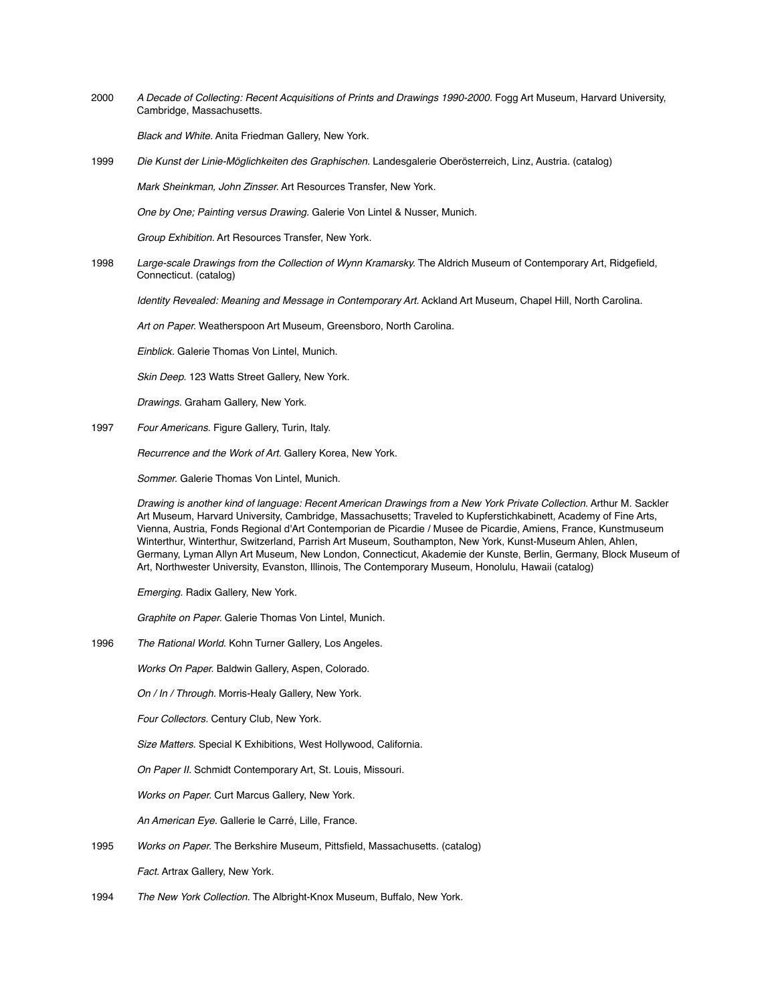2000 *A Decade of Collecting: Recent Acquisitions of Prints and Drawings 1990-2000.* Fogg Art Museum, Harvard University, Cambridge, Massachusetts.

*Black and White.* Anita Friedman Gallery, New York.

1999 *Die Kunst der Linie-Möglichkeiten des Graphischen.* Landesgalerie Oberösterreich, Linz, Austria. (catalog)

*Mark Sheinkman, John Zinsser.* Art Resources Transfer, New York.

*One by One; Painting versus Drawing.* Galerie Von Lintel & Nusser, Munich.

*Group Exhibition.* Art Resources Transfer, New York.

1998 *Large-scale Drawings from the Collection of Wynn Kramarsky.* The Aldrich Museum of Contemporary Art, Ridgefield, Connecticut. (catalog)

*Identity Revealed: Meaning and Message in Contemporary Art.* Ackland Art Museum, Chapel Hill, North Carolina.

*Art on Paper.* Weatherspoon Art Museum, Greensboro, North Carolina.

*Einblick.* Galerie Thomas Von Lintel, Munich.

*Skin Deep.* 123 Watts Street Gallery, New York.

*Drawings.* Graham Gallery, New York.

1997 *Four Americans.* Figure Gallery, Turin, Italy.

*Recurrence and the Work of Art.* Gallery Korea, New York.

*Sommer.* Galerie Thomas Von Lintel, Munich.

*Drawing is another kind of language: Recent American Drawings from a New York Private Collection.* Arthur M. Sackler Art Museum, Harvard University, Cambridge, Massachusetts; Traveled to Kupferstichkabinett, Academy of Fine Arts, Vienna, Austria, Fonds Regional d'Art Contemporian de Picardie / Musee de Picardie, Amiens, France, Kunstmuseum Winterthur, Winterthur, Switzerland, Parrish Art Museum, Southampton, New York, Kunst-Museum Ahlen, Ahlen, Germany, Lyman Allyn Art Museum, New London, Connecticut, Akademie der Kunste, Berlin, Germany, Block Museum of Art, Northwester University, Evanston, Illinois, The Contemporary Museum, Honolulu, Hawaii (catalog)

*Emerging.* Radix Gallery, New York.

*Graphite on Paper.* Galerie Thomas Von Lintel, Munich.

1996 *The Rational World.* Kohn Turner Gallery, Los Angeles.

*Works On Paper.* Baldwin Gallery, Aspen, Colorado.

*On / In / Through.* Morris-Healy Gallery, New York.

*Four Collectors.* Century Club, New York.

*Size Matters.* Special K Exhibitions, West Hollywood, California.

*On Paper II.* Schmidt Contemporary Art, St. Louis, Missouri.

*Works on Paper.* Curt Marcus Gallery, New York.

*An American Eye.* Gallerie le Carré, Lille, France.

- 1995 *Works on Paper.* The Berkshire Museum, Pittsfield, Massachusetts. (catalog) *Fact.* Artrax Gallery, New York.
- 1994 *The New York Collection.* The Albright-Knox Museum, Buffalo, New York.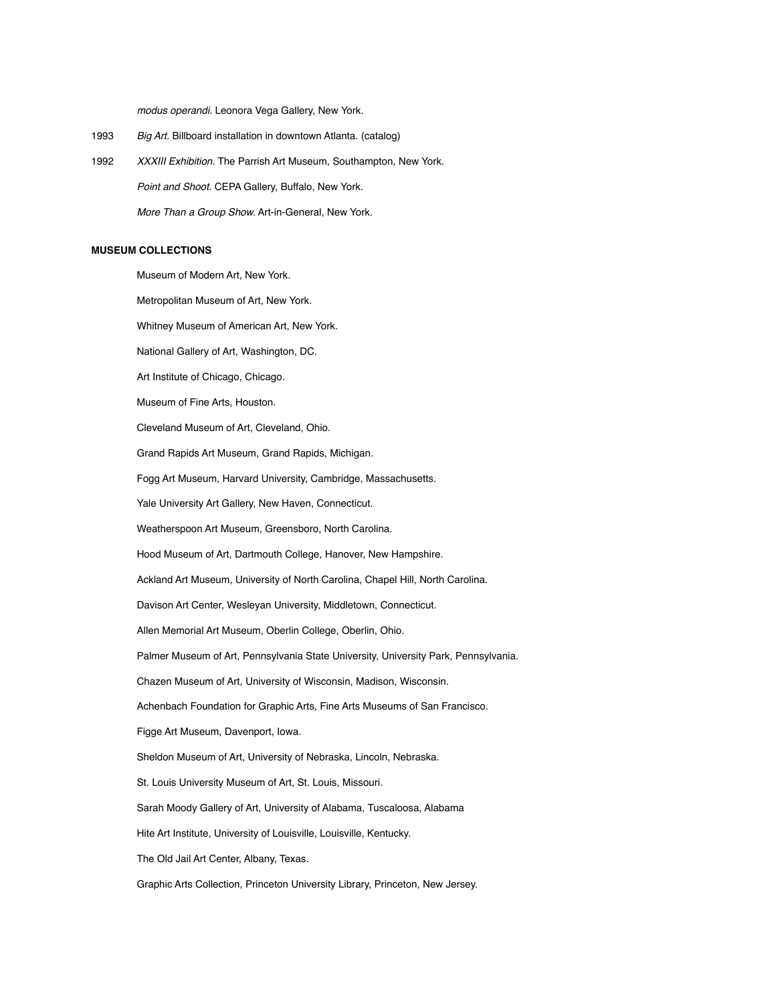*modus operandi.* Leonora Vega Gallery, New York.

- 1993 *Big Art.* Billboard installation in downtown Atlanta. (catalog)
- 1992 *XXXIII Exhibition.* The Parrish Art Museum, Southampton, New York. *Point and Shoot.* CEPA Gallery, Buffalo, New York. *More Than a Group Show.* Art-in-General, New York.

# **MUSEUM COLLECTIONS**

Museum of Modern Art, New York.

Metropolitan Museum of Art, New York.

Whitney Museum of American Art, New York.

National Gallery of Art, Washington, DC.

Art Institute of Chicago, Chicago.

Museum of Fine Arts, Houston.

Cleveland Museum of Art, Cleveland, Ohio.

Grand Rapids Art Museum, Grand Rapids, Michigan.

Fogg Art Museum, Harvard University, Cambridge, Massachusetts.

Yale University Art Gallery, New Haven, Connecticut.

Weatherspoon Art Museum, Greensboro, North Carolina.

Hood Museum of Art, Dartmouth College, Hanover, New Hampshire.

Ackland Art Museum, University of North Carolina, Chapel Hill, North Carolina.

Davison Art Center, Wesleyan University, Middletown, Connecticut.

Allen Memorial Art Museum, Oberlin College, Oberlin, Ohio.

Palmer Museum of Art, Pennsylvania State University, University Park, Pennsylvania.

Chazen Museum of Art, University of Wisconsin, Madison, Wisconsin.

Achenbach Foundation for Graphic Arts, Fine Arts Museums of San Francisco.

Figge Art Museum, Davenport, Iowa.

Sheldon Museum of Art, University of Nebraska, Lincoln, Nebraska.

St. Louis University Museum of Art, St. Louis, Missouri.

Sarah Moody Gallery of Art, University of Alabama, Tuscaloosa, Alabama

Hite Art Institute, University of Louisville, Louisville, Kentucky.

The Old Jail Art Center, Albany, Texas.

Graphic Arts Collection, Princeton University Library, Princeton, New Jersey.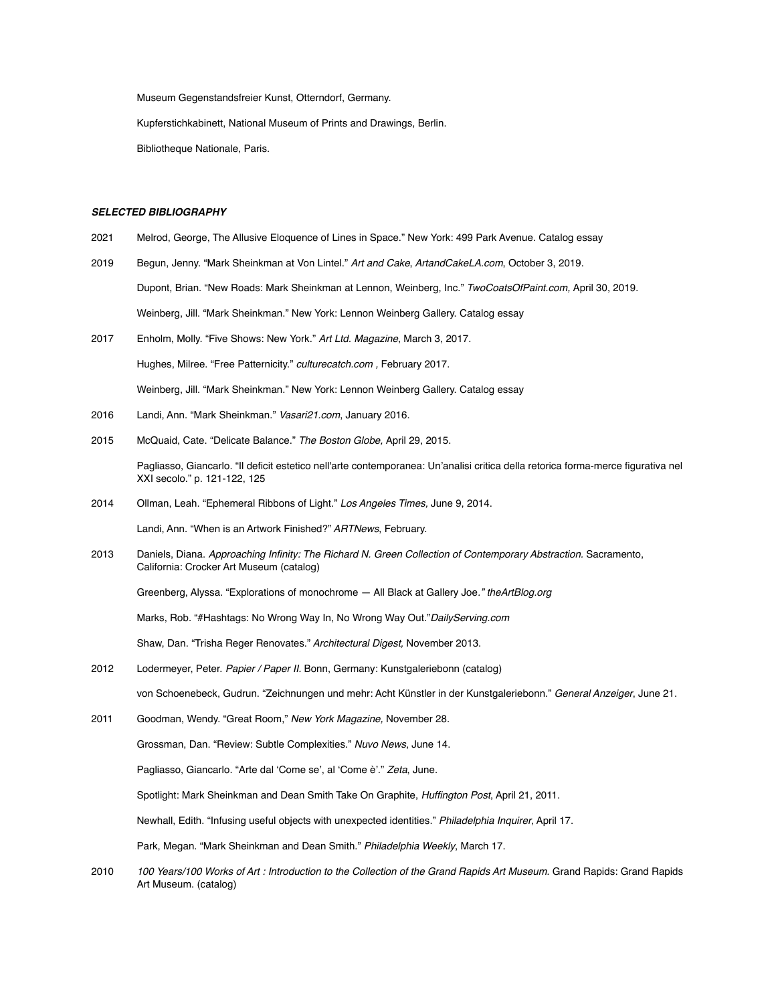Museum Gegenstandsfreier Kunst, Otterndorf, Germany.

Kupferstichkabinett, National Museum of Prints and Drawings, Berlin.

Bibliotheque Nationale, Paris.

### *SELECTED BIBLIOGRAPHY*

- 2021 Melrod, George, The Allusive Eloquence of Lines in Space." New York: 499 Park Avenue. Catalog essay
- 2019 Begun, Jenny. "Mark Sheinkman at Von Lintel." *Art and Cake*, *ArtandCakeLA.com*, October 3, 2019. Dupont, Brian. "New Roads: Mark Sheinkman at Lennon, Weinberg, Inc." *TwoCoatsOfPaint.com,* April 30, 2019*.* Weinberg, Jill. "Mark Sheinkman." New York: Lennon Weinberg Gallery. Catalog essay
- 2017 Enholm, Molly. "Five Shows: New York." *Art Ltd. Magazine*, March 3, 2017.

Hughes, Milree. "Free Patternicity." *culturecatch.com ,* February 2017.

Weinberg, Jill. "Mark Sheinkman." New York: Lennon Weinberg Gallery. Catalog essay

- 2016 Landi, Ann. "Mark Sheinkman." *Vasari21.com*, January 2016.
- 2015 McQuaid, Cate. "Delicate Balance." *The Boston Globe,* April 29, 2015.

Pagliasso, Giancarlo. "Il deficit estetico nell'arte contemporanea: Un'analisi critica della retorica forma-merce figurativa nel XXI secolo." p. 121-122, 125

- 2014 Ollman, Leah. "Ephemeral Ribbons of Light." *Los Angeles Times,* June 9, 2014. Landi, Ann. "When is an Artwork Finished?" *ARTNews*, February.
- 2013 Daniels, Diana. *Approaching Infinity: The Richard N. Green Collection of Contemporary Abstraction.* Sacramento, California: Crocker Art Museum (catalog)

Greenberg, Alyssa. "Explorations of monochrome — All Black at Gallery Joe*." theArtBlog.org*

Marks, Rob. "#Hashtags: No Wrong Way In, No Wrong Way Out."*DailyServing.com*

Shaw, Dan. "Trisha Reger Renovates." *Architectural Digest,* November 2013.

2012 Lodermeyer, Peter. *Papier / Paper II.* Bonn, Germany: Kunstgaleriebonn (catalog)

von Schoenebeck, Gudrun. "Zeichnungen und mehr: Acht Künstler in der Kunstgaleriebonn." *General Anzeiger*, June 21.

2011 Goodman, Wendy. "Great Room," *New York Magazine,* November 28.

Grossman, Dan. "Review: Subtle Complexities." *Nuvo News*, June 14.

Pagliasso, Giancarlo. "Arte dal 'Come se', al 'Come è'." *Zeta*, June.

Spotlight: Mark Sheinkman and Dean Smith Take On Graphite, *Huffington Post*, April 21, 2011.

Newhall, Edith. "Infusing useful objects with unexpected identities." *Philadelphia Inquirer*, April 17.

Park, Megan. "Mark Sheinkman and Dean Smith." *Philadelphia Weekly*, March 17.

2010 *100 Years/100 Works of Art : Introduction to the Collection of the Grand Rapids Art Museum.* Grand Rapids: Grand Rapids Art Museum. (catalog)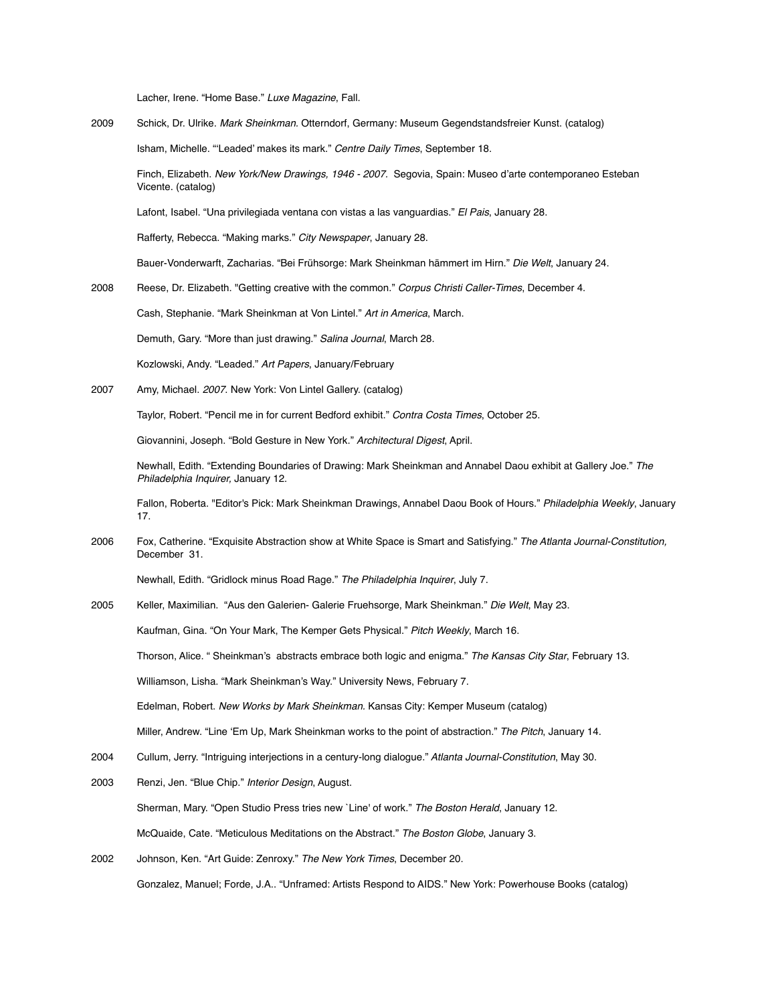Lacher, Irene. "Home Base." *Luxe Magazine*, Fall.

2009 Schick, Dr. Ulrike. *Mark Sheinkman.* Otterndorf, Germany: Museum Gegendstandsfreier Kunst. (catalog) Isham, Michelle. "'Leaded' makes its mark." *Centre Daily Times*, September 18.

Finch, Elizabeth. *New York/New Drawings, 1946 - 2007.* Segovia, Spain: Museo d'arte contemporaneo Esteban Vicente. (catalog)

Lafont, Isabel. "Una privilegiada ventana con vistas a las vanguardias." *El Pais*, January 28.

Rafferty, Rebecca. "Making marks." *City Newspaper*, January 28.

Bauer-Vonderwarft, Zacharias. "Bei Frühsorge: Mark Sheinkman hämmert im Hirn." *Die Welt*, January 24.

2008 Reese, Dr. Elizabeth. "Getting creative with the common." *Corpus Christi Caller-Times*, December 4.

Cash, Stephanie. "Mark Sheinkman at Von Lintel." *Art in America*, March.

Demuth, Gary. "More than just drawing." *Salina Journal*, March 28.

Kozlowski, Andy. "Leaded." *Art Papers*, January/February

2007 Amy, Michael. *2007*. New York: Von Lintel Gallery. (catalog)

Taylor, Robert. "Pencil me in for current Bedford exhibit." *Contra Costa Times*, October 25.

Giovannini, Joseph. "Bold Gesture in New York." *Architectural Digest*, April.

Newhall, Edith. "Extending Boundaries of Drawing: Mark Sheinkman and Annabel Daou exhibit at Gallery Joe." *The Philadelphia Inquirer,* January 12.

Fallon, Roberta. "Editor's Pick: Mark Sheinkman Drawings, Annabel Daou Book of Hours." *Philadelphia Weekly*, January 17.

2006 Fox, Catherine. "Exquisite Abstraction show at White Space is Smart and Satisfying." *The Atlanta Journal-Constitution,* December 31.

Newhall, Edith. "Gridlock minus Road Rage." *The Philadelphia Inquirer*, July 7.

2005 Keller, Maximilian. "Aus den Galerien- Galerie Fruehsorge, Mark Sheinkman." *Die Welt*, May 23.

Kaufman, Gina. "On Your Mark, The Kemper Gets Physical." *Pitch Weekly*, March 16.

Thorson, Alice. " Sheinkman's abstracts embrace both logic and enigma." *The Kansas City Star*, February 13.

Williamson, Lisha. "Mark Sheinkman's Way." University News, February 7.

Edelman, Robert. *New Works by Mark Sheinkman.* Kansas City: Kemper Museum (catalog)

Miller, Andrew. "Line 'Em Up, Mark Sheinkman works to the point of abstraction." *The Pitch*, January 14.

- 2004 Cullum, Jerry. "Intriguing interjections in a century-long dialogue." *Atlanta Journal-Constitution*, May 30.
- 2003 Renzi, Jen. "Blue Chip." *Interior Design*, August. Sherman, Mary. "Open Studio Press tries new `Line' of work." *The Boston Herald*, January 12. McQuaide, Cate. "Meticulous Meditations on the Abstract." *The Boston Globe*, January 3.
- 2002 Johnson, Ken. "Art Guide: Zenroxy." *The New York Times*, December 20. Gonzalez, Manuel; Forde, J.A.. "Unframed: Artists Respond to AIDS." New York: Powerhouse Books (catalog)